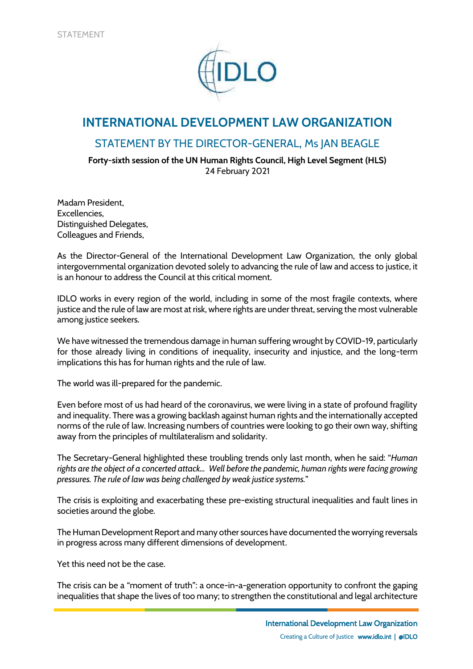

## **INTERNATIONAL DEVELOPMENT LAW ORGANIZATION**

## STATEMENT BY THE DIRECTOR-GENERAL, Ms JAN BEAGLE

**Forty-sixth session of the UN Human Rights Council, High Level Segment (HLS)** 24 February 2021

Madam President, Excellencies, Distinguished Delegates, Colleagues and Friends,

As the Director-General of the International Development Law Organization, the only global intergovernmental organization devoted solely to advancing the rule of law and access to justice, it is an honour to address the Council at this critical moment.

IDLO works in every region of the world, including in some of the most fragile contexts, where justice and the rule of law are most at risk, where rights are under threat, serving the most vulnerable among justice seekers.

We have witnessed the tremendous damage in human suffering wrought by COVID-19, particularly for those already living in conditions of inequality, insecurity and injustice, and the long-term implications this has for human rights and the rule of law.

The world was ill-prepared for the pandemic.

Even before most of us had heard of the coronavirus, we were living in a state of profound fragility and inequality. There was a growing backlash against human rights and the internationally accepted norms of the rule of law. Increasing numbers of countries were looking to go their own way, shifting away from the principles of multilateralism and solidarity.

The Secretary-General highlighted these troubling trends only last month, when he said: "*Human rights are the object of a concerted attack… Well before the pandemic, human rights were facing growing pressures. The rule of law was being challenged by weak justice systems.*"

The crisis is exploiting and exacerbating these pre-existing structural inequalities and fault lines in societies around the globe.

The Human Development Report and many other sources have documented the worrying reversals in progress across many different dimensions of development.

Yet this need not be the case.

The crisis can be a "moment of truth": a once-in-a-generation opportunity to confront the gaping inequalities that shape the lives of too many; to strengthen the constitutional and legal architecture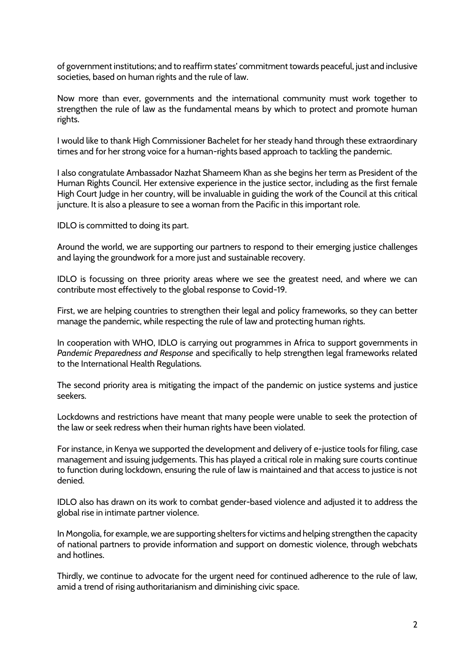of government institutions; and to reaffirm states' commitment towards peaceful, just and inclusive societies, based on human rights and the rule of law.

Now more than ever, governments and the international community must work together to strengthen the rule of law as the fundamental means by which to protect and promote human rights.

I would like to thank High Commissioner Bachelet for her steady hand through these extraordinary times and for her strong voice for a human-rights based approach to tackling the pandemic.

I also congratulate Ambassador Nazhat Shameem Khan as she begins her term as President of the Human Rights Council. Her extensive experience in the justice sector, including as the first female High Court Judge in her country, will be invaluable in guiding the work of the Council at this critical juncture. It is also a pleasure to see a woman from the Pacific in this important role.

IDLO is committed to doing its part.

Around the world, we are supporting our partners to respond to their emerging justice challenges and laying the groundwork for a more just and sustainable recovery.

IDLO is focussing on three priority areas where we see the greatest need, and where we can contribute most effectively to the global response to Covid-19.

First, we are helping countries to strengthen their legal and policy frameworks, so they can better manage the pandemic, while respecting the rule of law and protecting human rights.

In cooperation with WHO, IDLO is carrying out programmes in Africa to support governments in *Pandemic Preparedness and Response* and specifically to help strengthen legal frameworks related to the International Health Regulations.

The second priority area is mitigating the impact of the pandemic on justice systems and justice seekers.

Lockdowns and restrictions have meant that many people were unable to seek the protection of the law or seek redress when their human rights have been violated.

For instance, in Kenya we supported the development and delivery of e-justice tools for filing, case management and issuing judgements. This has played a critical role in making sure courts continue to function during lockdown, ensuring the rule of law is maintained and that access to justice is not denied.

IDLO also has drawn on its work to combat gender-based violence and adjusted it to address the global rise in intimate partner violence.

In Mongolia, for example, we are supporting shelters for victims and helping strengthen the capacity of national partners to provide information and support on domestic violence, through webchats and hotlines.

Thirdly, we continue to advocate for the urgent need for continued adherence to the rule of law, amid a trend of rising authoritarianism and diminishing civic space.